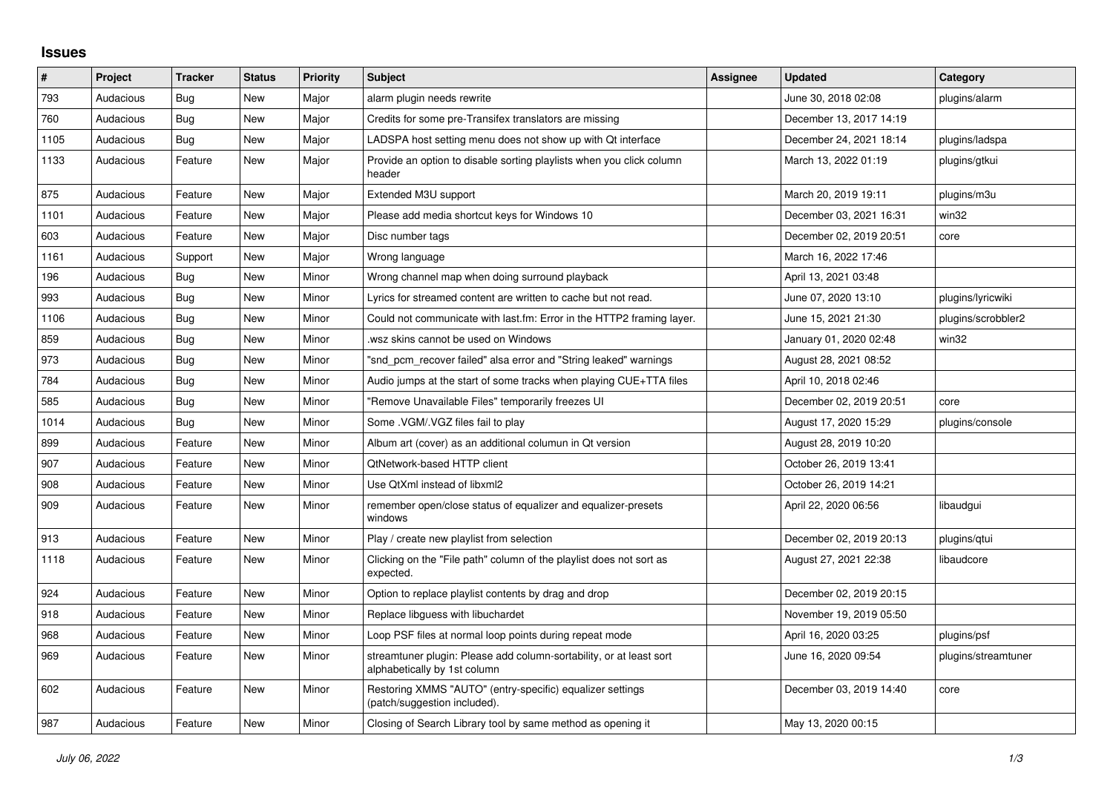## **Issues**

| $\sharp$ | Project   | <b>Tracker</b> | <b>Status</b> | <b>Priority</b> | <b>Subject</b>                                                                                      | <b>Assignee</b> | <b>Updated</b>          | Category            |
|----------|-----------|----------------|---------------|-----------------|-----------------------------------------------------------------------------------------------------|-----------------|-------------------------|---------------------|
| 793      | Audacious | Bug            | <b>New</b>    | Major           | alarm plugin needs rewrite                                                                          |                 | June 30, 2018 02:08     | plugins/alarm       |
| 760      | Audacious | <b>Bug</b>     | New           | Major           | Credits for some pre-Transifex translators are missing                                              |                 | December 13, 2017 14:19 |                     |
| 1105     | Audacious | <b>Bug</b>     | New           | Major           | LADSPA host setting menu does not show up with Qt interface                                         |                 | December 24, 2021 18:14 | plugins/ladspa      |
| 1133     | Audacious | Feature        | New           | Major           | Provide an option to disable sorting playlists when you click column<br>header                      |                 | March 13, 2022 01:19    | plugins/gtkui       |
| 875      | Audacious | Feature        | <b>New</b>    | Major           | Extended M3U support                                                                                |                 | March 20, 2019 19:11    | plugins/m3u         |
| 1101     | Audacious | Feature        | New           | Major           | Please add media shortcut keys for Windows 10                                                       |                 | December 03, 2021 16:31 | win32               |
| 603      | Audacious | Feature        | New           | Major           | Disc number tags                                                                                    |                 | December 02, 2019 20:51 | core                |
| 1161     | Audacious | Support        | New           | Major           | Wrong language                                                                                      |                 | March 16, 2022 17:46    |                     |
| 196      | Audacious | Bug            | New           | Minor           | Wrong channel map when doing surround playback                                                      |                 | April 13, 2021 03:48    |                     |
| 993      | Audacious | Bug            | New           | Minor           | Lyrics for streamed content are written to cache but not read.                                      |                 | June 07, 2020 13:10     | plugins/lyricwiki   |
| 1106     | Audacious | Bug            | New           | Minor           | Could not communicate with last.fm: Error in the HTTP2 framing layer.                               |                 | June 15, 2021 21:30     | plugins/scrobbler2  |
| 859      | Audacious | <b>Bug</b>     | New           | Minor           | wsz skins cannot be used on Windows                                                                 |                 | January 01, 2020 02:48  | win32               |
| 973      | Audacious | Bug            | New           | Minor           | "snd pcm recover failed" alsa error and "String leaked" warnings                                    |                 | August 28, 2021 08:52   |                     |
| 784      | Audacious | <b>Bug</b>     | New           | Minor           | Audio jumps at the start of some tracks when playing CUE+TTA files                                  |                 | April 10, 2018 02:46    |                     |
| 585      | Audacious | <b>Bug</b>     | New           | Minor           | "Remove Unavailable Files" temporarily freezes UI                                                   |                 | December 02, 2019 20:51 | core                |
| 1014     | Audacious | Bug            | New           | Minor           | Some .VGM/.VGZ files fail to play                                                                   |                 | August 17, 2020 15:29   | plugins/console     |
| 899      | Audacious | Feature        | New           | Minor           | Album art (cover) as an additional columun in Qt version                                            |                 | August 28, 2019 10:20   |                     |
| 907      | Audacious | Feature        | New           | Minor           | QtNetwork-based HTTP client                                                                         |                 | October 26, 2019 13:41  |                     |
| 908      | Audacious | Feature        | New           | Minor           | Use QtXml instead of libxml2                                                                        |                 | October 26, 2019 14:21  |                     |
| 909      | Audacious | Feature        | <b>New</b>    | Minor           | remember open/close status of equalizer and equalizer-presets<br>windows                            |                 | April 22, 2020 06:56    | libaudgui           |
| 913      | Audacious | Feature        | New           | Minor           | Play / create new playlist from selection                                                           |                 | December 02, 2019 20:13 | plugins/qtui        |
| 1118     | Audacious | Feature        | New           | Minor           | Clicking on the "File path" column of the playlist does not sort as<br>expected.                    |                 | August 27, 2021 22:38   | libaudcore          |
| 924      | Audacious | Feature        | New           | Minor           | Option to replace playlist contents by drag and drop                                                |                 | December 02, 2019 20:15 |                     |
| 918      | Audacious | Feature        | <b>New</b>    | Minor           | Replace libguess with libuchardet                                                                   |                 | November 19, 2019 05:50 |                     |
| 968      | Audacious | Feature        | New           | Minor           | Loop PSF files at normal loop points during repeat mode                                             |                 | April 16, 2020 03:25    | plugins/psf         |
| 969      | Audacious | Feature        | New           | Minor           | streamtuner plugin: Please add column-sortability, or at least sort<br>alphabetically by 1st column |                 | June 16, 2020 09:54     | plugins/streamtuner |
| 602      | Audacious | Feature        | <b>New</b>    | Minor           | Restoring XMMS "AUTO" (entry-specific) equalizer settings<br>(patch/suggestion included).           |                 | December 03, 2019 14:40 | core                |
| 987      | Audacious | Feature        | New           | Minor           | Closing of Search Library tool by same method as opening it                                         |                 | May 13, 2020 00:15      |                     |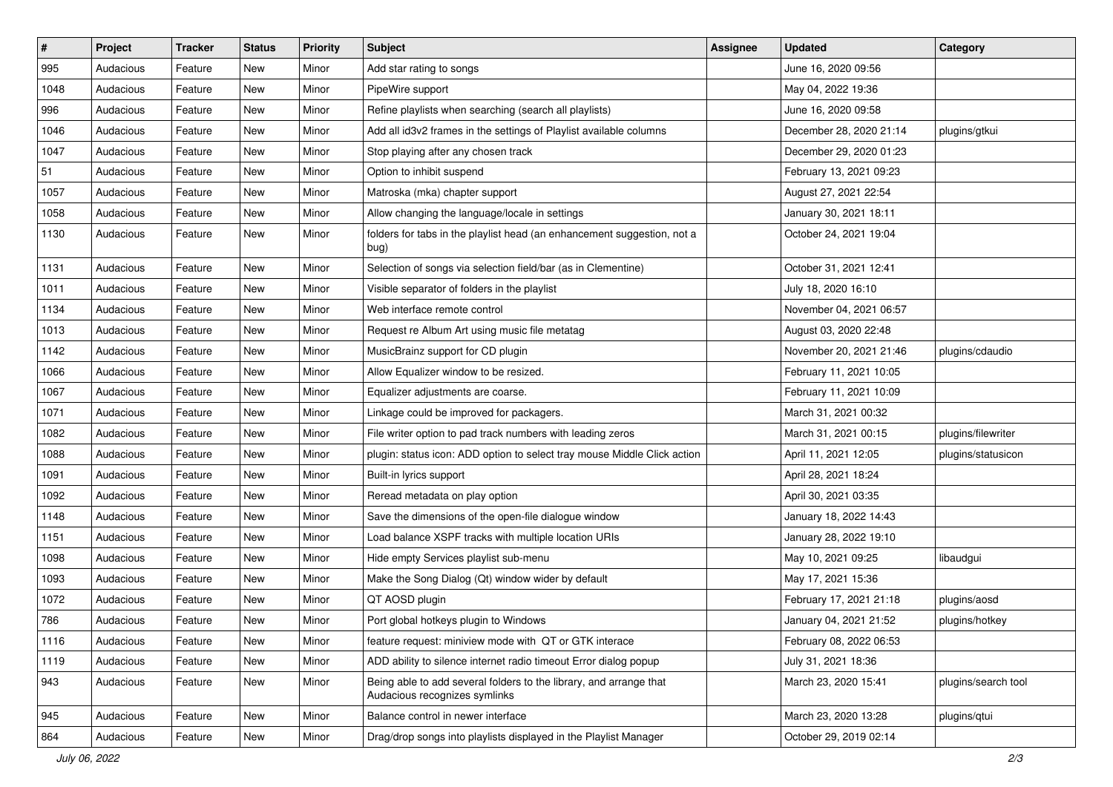| $\vert$ # | Project   | <b>Tracker</b> | <b>Status</b> | <b>Priority</b> | <b>Subject</b>                                                                                      | <b>Assignee</b> | <b>Updated</b>          | Category            |
|-----------|-----------|----------------|---------------|-----------------|-----------------------------------------------------------------------------------------------------|-----------------|-------------------------|---------------------|
| 995       | Audacious | Feature        | New           | Minor           | Add star rating to songs                                                                            |                 | June 16, 2020 09:56     |                     |
| 1048      | Audacious | Feature        | New           | Minor           | PipeWire support                                                                                    |                 | May 04, 2022 19:36      |                     |
| 996       | Audacious | Feature        | New           | Minor           | Refine playlists when searching (search all playlists)                                              |                 | June 16, 2020 09:58     |                     |
| 1046      | Audacious | Feature        | New           | Minor           | Add all id3v2 frames in the settings of Playlist available columns                                  |                 | December 28, 2020 21:14 | plugins/gtkui       |
| 1047      | Audacious | Feature        | New           | Minor           | Stop playing after any chosen track                                                                 |                 | December 29, 2020 01:23 |                     |
| 51        | Audacious | Feature        | New           | Minor           | Option to inhibit suspend                                                                           |                 | February 13, 2021 09:23 |                     |
| 1057      | Audacious | Feature        | New           | Minor           | Matroska (mka) chapter support                                                                      |                 | August 27, 2021 22:54   |                     |
| 1058      | Audacious | Feature        | New           | Minor           | Allow changing the language/locale in settings                                                      |                 | January 30, 2021 18:11  |                     |
| 1130      | Audacious | Feature        | New           | Minor           | folders for tabs in the playlist head (an enhancement suggestion, not a<br>bug)                     |                 | October 24, 2021 19:04  |                     |
| 1131      | Audacious | Feature        | New           | Minor           | Selection of songs via selection field/bar (as in Clementine)                                       |                 | October 31, 2021 12:41  |                     |
| 1011      | Audacious | Feature        | New           | Minor           | Visible separator of folders in the playlist                                                        |                 | July 18, 2020 16:10     |                     |
| 1134      | Audacious | Feature        | New           | Minor           | Web interface remote control                                                                        |                 | November 04, 2021 06:57 |                     |
| 1013      | Audacious | Feature        | New           | Minor           | Request re Album Art using music file metatag                                                       |                 | August 03, 2020 22:48   |                     |
| 1142      | Audacious | Feature        | New           | Minor           | MusicBrainz support for CD plugin                                                                   |                 | November 20, 2021 21:46 | plugins/cdaudio     |
| 1066      | Audacious | Feature        | New           | Minor           | Allow Equalizer window to be resized.                                                               |                 | February 11, 2021 10:05 |                     |
| 1067      | Audacious | Feature        | New           | Minor           | Equalizer adjustments are coarse.                                                                   |                 | February 11, 2021 10:09 |                     |
| 1071      | Audacious | Feature        | New           | Minor           | Linkage could be improved for packagers.                                                            |                 | March 31, 2021 00:32    |                     |
| 1082      | Audacious | Feature        | New           | Minor           | File writer option to pad track numbers with leading zeros                                          |                 | March 31, 2021 00:15    | plugins/filewriter  |
| 1088      | Audacious | Feature        | New           | Minor           | plugin: status icon: ADD option to select tray mouse Middle Click action                            |                 | April 11, 2021 12:05    | plugins/statusicon  |
| 1091      | Audacious | Feature        | New           | Minor           | Built-in lyrics support                                                                             |                 | April 28, 2021 18:24    |                     |
| 1092      | Audacious | Feature        | New           | Minor           | Reread metadata on play option                                                                      |                 | April 30, 2021 03:35    |                     |
| 1148      | Audacious | Feature        | New           | Minor           | Save the dimensions of the open-file dialogue window                                                |                 | January 18, 2022 14:43  |                     |
| 1151      | Audacious | Feature        | New           | Minor           | Load balance XSPF tracks with multiple location URIs                                                |                 | January 28, 2022 19:10  |                     |
| 1098      | Audacious | Feature        | New           | Minor           | Hide empty Services playlist sub-menu                                                               |                 | May 10, 2021 09:25      | libaudgui           |
| 1093      | Audacious | Feature        | New           | Minor           | Make the Song Dialog (Qt) window wider by default                                                   |                 | May 17, 2021 15:36      |                     |
| 1072      | Audacious | Feature        | New           | Minor           | QT AOSD plugin                                                                                      |                 | February 17, 2021 21:18 | plugins/aosd        |
| 786       | Audacious | Feature        | New           | Minor           | Port global hotkeys plugin to Windows                                                               |                 | January 04, 2021 21:52  | plugins/hotkey      |
| 1116      | Audacious | Feature        | New           | Minor           | feature request: miniview mode with QT or GTK interace                                              |                 | February 08, 2022 06:53 |                     |
| 1119      | Audacious | Feature        | New           | Minor           | ADD ability to silence internet radio timeout Error dialog popup                                    |                 | July 31, 2021 18:36     |                     |
| 943       | Audacious | Feature        | New           | Minor           | Being able to add several folders to the library, and arrange that<br>Audacious recognizes symlinks |                 | March 23, 2020 15:41    | plugins/search tool |
| 945       | Audacious | Feature        | New           | Minor           | Balance control in newer interface                                                                  |                 | March 23, 2020 13:28    | plugins/qtui        |
| 864       | Audacious | Feature        | New           | Minor           | Drag/drop songs into playlists displayed in the Playlist Manager                                    |                 | October 29, 2019 02:14  |                     |